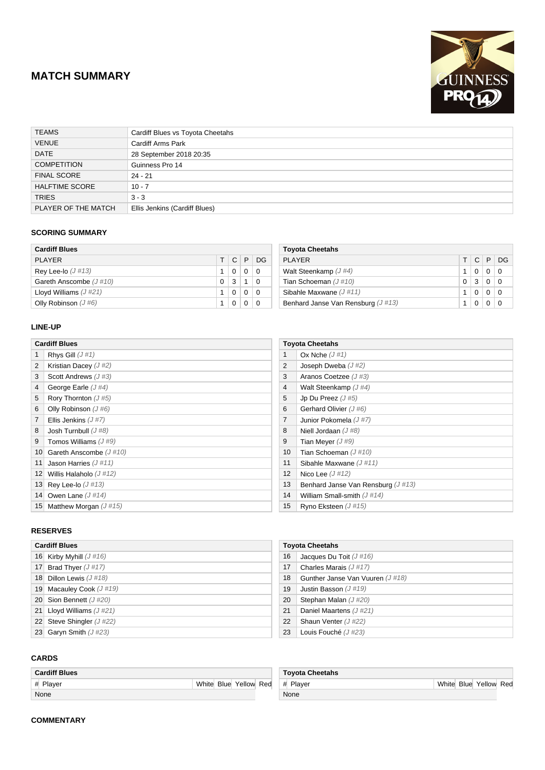## **MATCH SUMMARY**



| <b>TEAMS</b>          | Cardiff Blues vs Toyota Cheetahs |
|-----------------------|----------------------------------|
| <b>VENUE</b>          | <b>Cardiff Arms Park</b>         |
| <b>DATE</b>           | 28 September 2018 20:35          |
| <b>COMPETITION</b>    | Guinness Pro 14                  |
| <b>FINAL SCORE</b>    | $24 - 21$                        |
| <b>HALFTIME SCORE</b> | $10 - 7$                         |
| <b>TRIES</b>          | $3 - 3$                          |
| PLAYER OF THE MATCH   | Ellis Jenkins (Cardiff Blues)    |

### **SCORING SUMMARY**

| <b>Cardiff Blues</b>    |    |              |   |     |
|-------------------------|----|--------------|---|-----|
| PI AYFR                 | T. | $\mathsf{C}$ | P | DG. |
| Rey Lee-lo $(J \# 13)$  |    | 0            | O | 0   |
| Gareth Anscombe (J#10)  | 0  | 3            |   | 0   |
| Lloyd Williams $(J#21)$ |    | 0            |   | 0   |
| Olly Robinson $(J#6)$   |    |              |   | 0   |

| <b>Toyota Cheetahs</b>               |  |          |  |          |
|--------------------------------------|--|----------|--|----------|
| PI AYFR                              |  |          |  | TCPDG    |
| Walt Steenkamp $(J#4)$               |  | $\Omega$ |  | - 0      |
| Tian Schoeman $(J #10)$              |  | 3        |  | - 0      |
| Sibahle Maxwane $(J#11)$             |  |          |  | $\Omega$ |
| Benhard Janse Van Rensburg $(J #13)$ |  |          |  |          |

### **LINE-UP**

|                | <b>Cardiff Blues</b>    |  |  |  |  |
|----------------|-------------------------|--|--|--|--|
| 1              | Rhys Gill $(J#1)$       |  |  |  |  |
| 2              | Kristian Dacey $(J#2)$  |  |  |  |  |
| 3              | Scott Andrews $(J#3)$   |  |  |  |  |
| 4              | George Earle $(J#4)$    |  |  |  |  |
| 5              | Rory Thornton $(J#5)$   |  |  |  |  |
| 6              | Olly Robinson $(J#6)$   |  |  |  |  |
| $\overline{7}$ | Ellis Jenkins $(J#7)$   |  |  |  |  |
| 8              | Josh Turnbull $(J#8)$   |  |  |  |  |
| 9              | Tomos Williams $(J#9)$  |  |  |  |  |
| 10             | Gareth Anscombe (J#10)  |  |  |  |  |
| 11             | Jason Harries $(J #11)$ |  |  |  |  |
| 12             | Willis Halaholo (J#12)  |  |  |  |  |
| 13             | Rey Lee-lo $(J#13)$     |  |  |  |  |
| 14             | Owen Lane $(J #14)$     |  |  |  |  |
| 15             | Matthew Morgan $(J#15)$ |  |  |  |  |

# **Toyota Cheetahs** 1 Ox Nche  $(J # 1)$ 2 Joseph Dweba  $(J#2)$ 3 Aranos Coetzee (J #3) 4 Walt Steenkamp ( $J \#4$ ) 5 Jp Du Preez  $(J \# 5)$

| 5              | Jp Du Preez $(J#5)$                  |
|----------------|--------------------------------------|
| 6              | Gerhard Olivier (J#6)                |
| $\overline{7}$ | Junior Pokomela (J#7)                |
| 8              | Niell Jordaan $(J#8)$                |
| 9              | Tian Meyer $(J#9)$                   |
| 10             | Tian Schoeman $(J #10)$              |
| 11             | Sibahle Maxwane $(J#11)$             |
| 12             | Nico Lee $(J#12)$                    |
| 13             | Benhard Janse Van Rensburg $(J #13)$ |
| 14             | William Small-smith $(J#14)$         |
| 15             | Ryno Eksteen $(J #15)$               |

#### **RESERVES**

| <b>Cardiff Blues</b> |                            |  |  |  |
|----------------------|----------------------------|--|--|--|
|                      | 16 Kirby Myhill $(J#16)$   |  |  |  |
| 17 <sup>1</sup>      | Brad Thyer $(J #17)$       |  |  |  |
|                      | 18 Dillon Lewis $(J#18)$   |  |  |  |
| 19                   | Macauley Cook $(J #19)$    |  |  |  |
|                      | 20 Sion Bennett $(J#20)$   |  |  |  |
|                      | 21 Lloyd Williams $(J#21)$ |  |  |  |
| 22 <sub>1</sub>      | Steve Shingler (J#22)      |  |  |  |
| 23                   | Garyn Smith $(J#23)$       |  |  |  |

### 16 Jacques Du Toit (J #16) 17 Charles Marais (J #17) 18 Gunther Janse Van Vuuren (J#18) 19 Justin Basson (J#19) 20 Stephan Malan (J#20) 21 Daniel Maartens (J#21) 22 Shaun Venter (J#22) 23 Louis Fouché (J#23)

**Toyota Cheetahs**

### **CARDS**

| <b>Cardiff Blues</b> |  |  |                       |  |  |  |
|----------------------|--|--|-----------------------|--|--|--|
| # Player             |  |  | White Blue Yellow Red |  |  |  |
| None                 |  |  |                       |  |  |  |

| <b>Toyota Cheetahs</b> |  |  |                       |  |
|------------------------|--|--|-----------------------|--|
| # Player               |  |  | White Blue Yellow Red |  |
| None                   |  |  |                       |  |